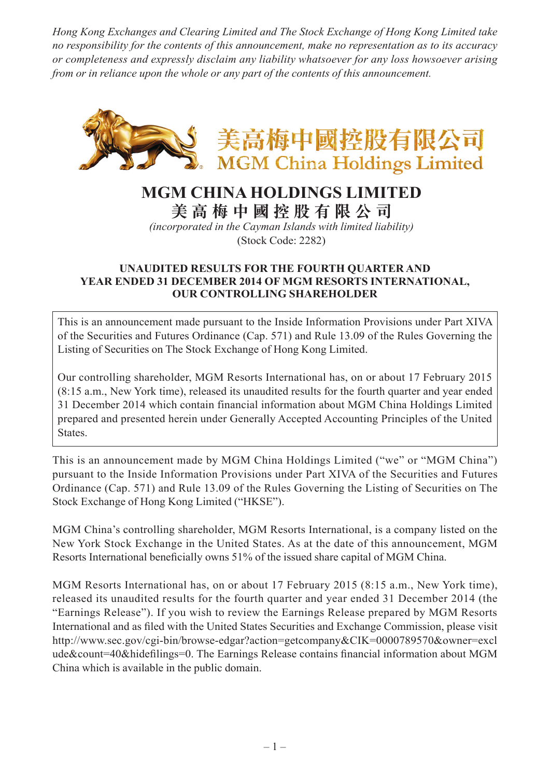*Hong Kong Exchanges and Clearing Limited and The Stock Exchange of Hong Kong Limited take no responsibility for the contents of this announcement, make no representation as to its accuracy or completeness and expressly disclaim any liability whatsoever for any loss howsoever arising from or in reliance upon the whole or any part of the contents of this announcement.*



# **MGM CHINA HOLDINGS LIMITED**

**美 高 梅 中 國 控 股 有 限 公 司**

*(incorporated in the Cayman Islands with limited liability)* (Stock Code: 2282)

## **UNAUDITED RESULTS FOR THE FOURTH QUARTER AND YEAR ENDED 31 DECEMBER 2014 OF MGM RESORTS INTERNATIONAL, OUR CONTROLLING SHAREHOLDER**

This is an announcement made pursuant to the Inside Information Provisions under Part XIVA of the Securities and Futures Ordinance (Cap. 571) and Rule 13.09 of the Rules Governing the Listing of Securities on The Stock Exchange of Hong Kong Limited.

Our controlling shareholder, MGM Resorts International has, on or about 17 February 2015 (8:15 a.m., New York time), released its unaudited results for the fourth quarter and year ended 31 December 2014 which contain financial information about MGM China Holdings Limited prepared and presented herein under Generally Accepted Accounting Principles of the United **States** 

This is an announcement made by MGM China Holdings Limited ("we" or "MGM China") pursuant to the Inside Information Provisions under Part XIVA of the Securities and Futures Ordinance (Cap. 571) and Rule 13.09 of the Rules Governing the Listing of Securities on The Stock Exchange of Hong Kong Limited ("HKSE").

MGM China's controlling shareholder, MGM Resorts International, is a company listed on the New York Stock Exchange in the United States. As at the date of this announcement, MGM Resorts International beneficially owns 51% of the issued share capital of MGM China.

MGM Resorts International has, on or about 17 February 2015 (8:15 a.m., New York time), released its unaudited results for the fourth quarter and year ended 31 December 2014 (the "Earnings Release"). If you wish to review the Earnings Release prepared by MGM Resorts International and as filed with the United States Securities and Exchange Commission, please visit http://www.sec.gov/cgi-bin/browse-edgar?action=getcompany&CIK=0000789570&owner=excl ude&count=40&hidefilings=0. The Earnings Release contains financial information about MGM China which is available in the public domain.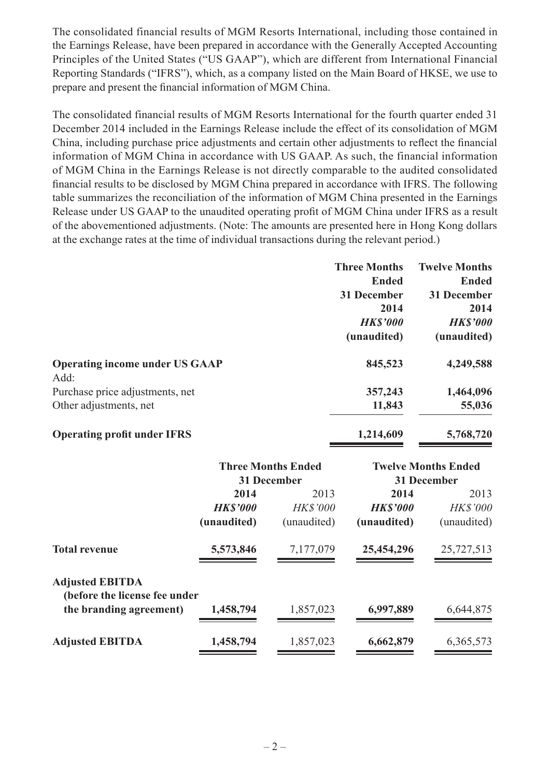The consolidated financial results of MGM Resorts International, including those contained in the Earnings Release, have been prepared in accordance with the Generally Accepted Accounting Principles of the United States ("US GAAP"), which are different from International Financial Reporting Standards ("IFRS"), which, as a company listed on the Main Board of HKSE, we use to prepare and present the financial information of MGM China.

The consolidated financial results of MGM Resorts International for the fourth quarter ended 31 December 2014 included in the Earnings Release include the effect of its consolidation of MGM China, including purchase price adjustments and certain other adjustments to reflect the financial information of MGM China in accordance with US GAAP. As such, the financial information of MGM China in the Earnings Release is not directly comparable to the audited consolidated financial results to be disclosed by MGM China prepared in accordance with IFRS. The following table summarizes the reconciliation of the information of MGM China presented in the Earnings Release under US GAAP to the unaudited operating profit of MGM China under IFRS as a result of the abovementioned adjustments. (Note: The amounts are presented here in Hong Kong dollars at the exchange rates at the time of individual transactions during the relevant period.)

|                                               | <b>Three Months</b> | <b>Twelve Months</b><br><b>Ended</b> |  |
|-----------------------------------------------|---------------------|--------------------------------------|--|
|                                               | <b>Ended</b>        |                                      |  |
|                                               | 31 December         | 31 December                          |  |
|                                               | 2014                | 2014                                 |  |
|                                               | <b>HK\$'000</b>     | <b>HK\$'000</b>                      |  |
|                                               | (unaudited)         | (unaudited)                          |  |
| <b>Operating income under US GAAP</b><br>Add: | 845,523             | 4,249,588                            |  |
| Purchase price adjustments, net               | 357,243             | 1,464,096                            |  |
| Other adjustments, net                        | 11,843              | 55,036                               |  |
| <b>Operating profit under IFRS</b>            | 1,214,609           | 5,768,720                            |  |

|                                                         | <b>Three Months Ended</b><br>31 December |                 | <b>Twelve Months Ended</b><br>31 December |                 |
|---------------------------------------------------------|------------------------------------------|-----------------|-------------------------------------------|-----------------|
|                                                         |                                          |                 |                                           |                 |
|                                                         | 2014                                     | 2013            | 2014                                      | 2013            |
|                                                         | <b>HK\$'000</b>                          | <b>HK\$'000</b> | <b>HK\$'000</b>                           | <b>HK\$'000</b> |
|                                                         | (unaudited)                              | (unaudited)     | (unaudited)                               | (unaudited)     |
| <b>Total revenue</b>                                    | 5,573,846                                | 7,177,079       | 25,454,296                                | 25,727,513      |
| <b>Adjusted EBITDA</b><br>(before the license fee under |                                          |                 |                                           |                 |
| the branding agreement)                                 | 1,458,794                                | 1,857,023       | 6,997,889                                 | 6,644,875       |
| <b>Adjusted EBITDA</b>                                  | 1,458,794                                | 1,857,023       | 6,662,879                                 | 6,365,573       |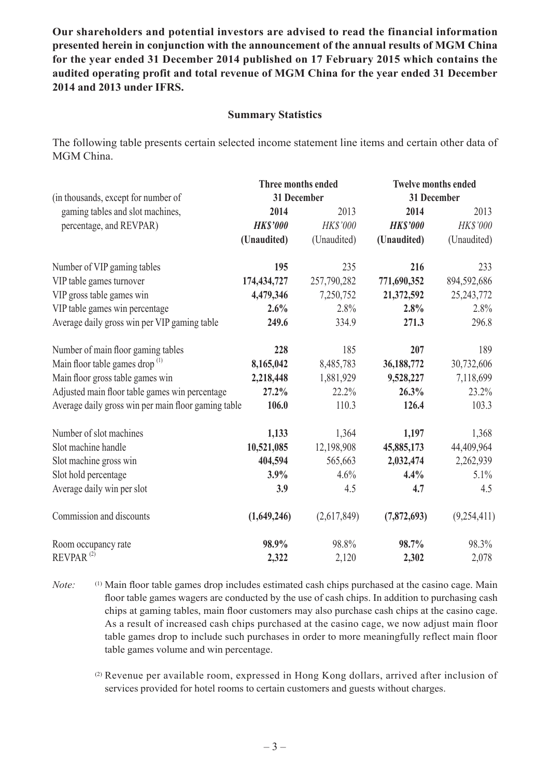**Our shareholders and potential investors are advised to read the financial information presented herein in conjunction with the announcement of the annual results of MGM China for the year ended 31 December 2014 published on 17 February 2015 which contains the audited operating profit and total revenue of MGM China for the year ended 31 December 2014 and 2013 under IFRS.**

#### **Summary Statistics**

The following table presents certain selected income statement line items and certain other data of MGM China.

|                                                     | Three months ended<br>31 December |             | <b>Twelve months ended</b><br>31 December |              |
|-----------------------------------------------------|-----------------------------------|-------------|-------------------------------------------|--------------|
| (in thousands, except for number of                 |                                   |             |                                           |              |
| gaming tables and slot machines,                    | 2014                              | 2013        | 2014                                      | 2013         |
| percentage, and REVPAR)                             | <b>HK\$'000</b>                   | HK\$'000    | <b>HK\$'000</b>                           | HK\$'000     |
|                                                     | (Unaudited)                       | (Unaudited) | (Unaudited)                               | (Unaudited)  |
| Number of VIP gaming tables                         | 195                               | 235         | 216                                       | 233          |
| VIP table games turnover                            | 174,434,727                       | 257,790,282 | 771,690,352                               | 894,592,686  |
| VIP gross table games win                           | 4,479,346                         | 7,250,752   | 21,372,592                                | 25, 243, 772 |
| VIP table games win percentage                      | 2.6%                              | 2.8%        | 2.8%                                      | 2.8%         |
| Average daily gross win per VIP gaming table        | 249.6                             | 334.9       | 271.3                                     | 296.8        |
| Number of main floor gaming tables                  | 228                               | 185         | 207                                       | 189          |
| Main floor table games drop $(1)$                   | 8,165,042                         | 8,485,783   | 36,188,772                                | 30,732,606   |
| Main floor gross table games win                    | 2,218,448                         | 1,881,929   | 9,528,227                                 | 7,118,699    |
| Adjusted main floor table games win percentage      | 27.2%                             | 22.2%       | 26.3%                                     | 23.2%        |
| Average daily gross win per main floor gaming table | 106.0                             | 110.3       | 126.4                                     | 103.3        |
| Number of slot machines                             | 1,133                             | 1,364       | 1,197                                     | 1,368        |
| Slot machine handle                                 | 10,521,085                        | 12,198,908  | 45,885,173                                | 44,409,964   |
| Slot machine gross win                              | 404,594                           | 565,663     | 2,032,474                                 | 2,262,939    |
| Slot hold percentage                                | 3.9%                              | 4.6%        | 4.4%                                      | 5.1%         |
| Average daily win per slot                          | 3.9                               | 4.5         | 4.7                                       | 4.5          |
| Commission and discounts                            | (1,649,246)                       | (2,617,849) | (7,872,693)                               | (9,254,411)  |
| Room occupancy rate                                 | 98.9%                             | 98.8%       | 98.7%                                     | 98.3%        |
| REVPAR <sup>(2)</sup>                               | 2,322                             | 2,120       | 2,302                                     | 2,078        |

*Note:* (1) Main floor table games drop includes estimated cash chips purchased at the casino cage. Main floor table games wagers are conducted by the use of cash chips. In addition to purchasing cash chips at gaming tables, main floor customers may also purchase cash chips at the casino cage. As a result of increased cash chips purchased at the casino cage, we now adjust main floor table games drop to include such purchases in order to more meaningfully reflect main floor table games volume and win percentage.

(2) Revenue per available room, expressed in Hong Kong dollars, arrived after inclusion of services provided for hotel rooms to certain customers and guests without charges.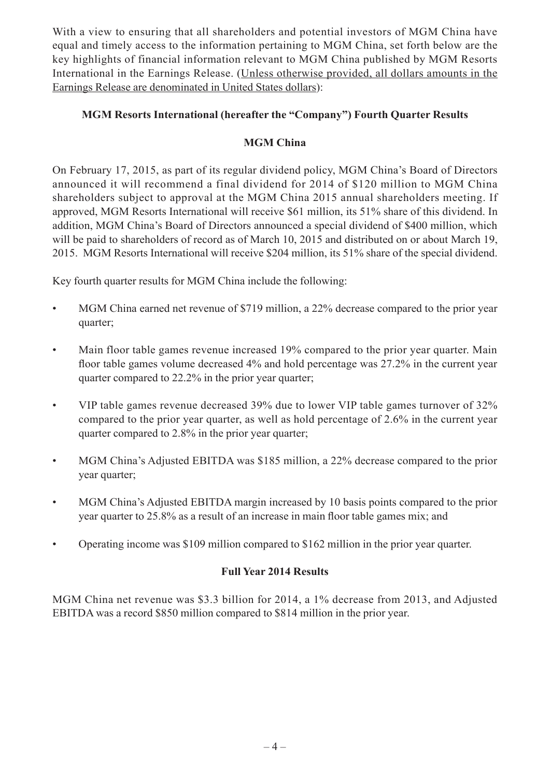With a view to ensuring that all shareholders and potential investors of MGM China have equal and timely access to the information pertaining to MGM China, set forth below are the key highlights of financial information relevant to MGM China published by MGM Resorts International in the Earnings Release. (Unless otherwise provided, all dollars amounts in the Earnings Release are denominated in United States dollars):

# **MGM Resorts International (hereafter the "Company") Fourth Quarter Results**

# **MGM China**

On February 17, 2015, as part of its regular dividend policy, MGM China's Board of Directors announced it will recommend a final dividend for 2014 of \$120 million to MGM China shareholders subject to approval at the MGM China 2015 annual shareholders meeting. If approved, MGM Resorts International will receive \$61 million, its 51% share of this dividend. In addition, MGM China's Board of Directors announced a special dividend of \$400 million, which will be paid to shareholders of record as of March 10, 2015 and distributed on or about March 19, 2015. MGM Resorts International will receive \$204 million, its 51% share of the special dividend.

Key fourth quarter results for MGM China include the following:

- MGM China earned net revenue of \$719 million, a 22% decrease compared to the prior year quarter;
- Main floor table games revenue increased 19% compared to the prior vear quarter. Main floor table games volume decreased 4% and hold percentage was 27.2% in the current year quarter compared to 22.2% in the prior year quarter;
- VIP table games revenue decreased 39% due to lower VIP table games turnover of 32% compared to the prior year quarter, as well as hold percentage of 2.6% in the current year quarter compared to 2.8% in the prior year quarter;
- MGM China's Adjusted EBITDA was \$185 million, a 22% decrease compared to the prior year quarter;
- MGM China's Adjusted EBITDA margin increased by 10 basis points compared to the prior year quarter to 25.8% as a result of an increase in main floor table games mix; and
- Operating income was \$109 million compared to \$162 million in the prior year quarter.

# **Full Year 2014 Results**

MGM China net revenue was \$3.3 billion for 2014, a 1% decrease from 2013, and Adjusted EBITDA was a record \$850 million compared to \$814 million in the prior year.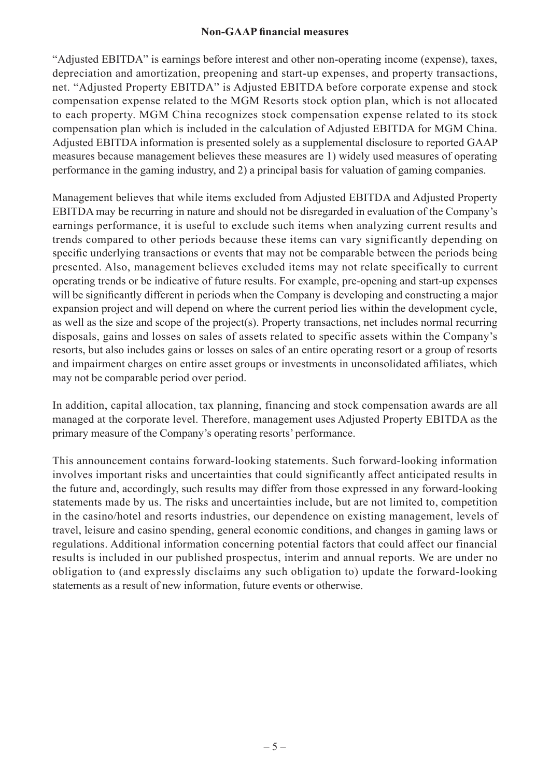## **Non-GAAP financial measures**

"Adjusted EBITDA" is earnings before interest and other non-operating income (expense), taxes, depreciation and amortization, preopening and start-up expenses, and property transactions, net. "Adjusted Property EBITDA" is Adjusted EBITDA before corporate expense and stock compensation expense related to the MGM Resorts stock option plan, which is not allocated to each property. MGM China recognizes stock compensation expense related to its stock compensation plan which is included in the calculation of Adjusted EBITDA for MGM China. Adjusted EBITDA information is presented solely as a supplemental disclosure to reported GAAP measures because management believes these measures are 1) widely used measures of operating performance in the gaming industry, and 2) a principal basis for valuation of gaming companies.

Management believes that while items excluded from Adjusted EBITDA and Adjusted Property EBITDA may be recurring in nature and should not be disregarded in evaluation of the Company's earnings performance, it is useful to exclude such items when analyzing current results and trends compared to other periods because these items can vary significantly depending on specific underlying transactions or events that may not be comparable between the periods being presented. Also, management believes excluded items may not relate specifically to current operating trends or be indicative of future results. For example, pre-opening and start-up expenses will be significantly different in periods when the Company is developing and constructing a major expansion project and will depend on where the current period lies within the development cycle, as well as the size and scope of the project(s). Property transactions, net includes normal recurring disposals, gains and losses on sales of assets related to specific assets within the Company's resorts, but also includes gains or losses on sales of an entire operating resort or a group of resorts and impairment charges on entire asset groups or investments in unconsolidated affiliates, which may not be comparable period over period.

In addition, capital allocation, tax planning, financing and stock compensation awards are all managed at the corporate level. Therefore, management uses Adjusted Property EBITDA as the primary measure of the Company's operating resorts' performance.

This announcement contains forward-looking statements. Such forward-looking information involves important risks and uncertainties that could significantly affect anticipated results in the future and, accordingly, such results may differ from those expressed in any forward-looking statements made by us. The risks and uncertainties include, but are not limited to, competition in the casino/hotel and resorts industries, our dependence on existing management, levels of travel, leisure and casino spending, general economic conditions, and changes in gaming laws or regulations. Additional information concerning potential factors that could affect our financial results is included in our published prospectus, interim and annual reports. We are under no obligation to (and expressly disclaims any such obligation to) update the forward-looking statements as a result of new information, future events or otherwise.